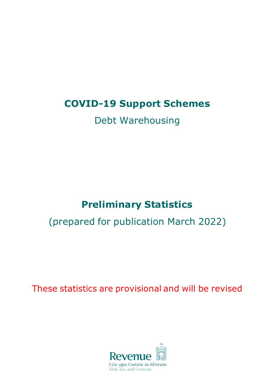# **COVID-19 Support Schemes**

# Debt Warehousing

# **Preliminary Statistics**

# (prepared for publication March 2022)

These statistics are provisional and will be revised

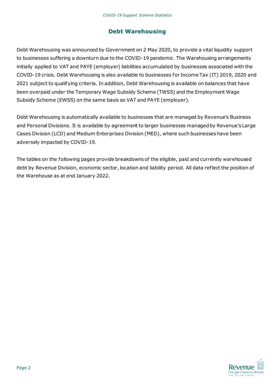## **Debt Warehousing**

Debt Warehousing was announced by Government on 2 May 2020, to provide a vital liquidity support to businesses suffering a downturn due to the COVID-19 pandemic. The Warehousing arrangements initially applied to VAT and PAYE (employer) liabilities accumulated by businesses associated with the COVID-19 crisis. Debt Warehousing is also available to businesses for Income Tax (IT) 2019, 2020 and 2021 subject to qualifying criteria. In addition, Debt Warehousing is available on balances that have been overpaid under the Temporary Wage Subsidy Scheme (TWSS) and the Employment Wage Subsidy Scheme (EWSS) on the same basis as VAT and PAYE (employer).

Debt Warehousing is automatically available to businesses that are managed by Revenue's Business and Personal Divisions. It is available by agreement to larger businesses managed by Revenue's Large Cases Division (LCD) and Medium Enterprises Division (MED), where such businesses have been adversely impacted by COVID-19.

The tables on the following pages provide breakdowns of the eligible, paid and currently warehoused debt by Revenue Division, economic sector, location and liability period. All data reflect the position of the Warehouse as at end January 2022.

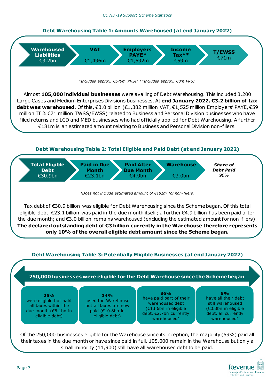#### **Debt Warehousing Table 1: Amounts Warehoused (at end January 2022)**



*\*Includes approx. €570m PRSI; \*\*Includes approx. €8m PRSI.*

Almost **105,000 individual businesses** were availing of Debt Warehousing. This included 3,200 Large Cases and Medium Enterprises Divisions businesses. At **end January 2022, €3.2 billion of tax debt was warehoused**. Of this, €3.0 billion (€1,382 million VAT, €1,525 million Employers' PAYE, €59 million IT & €71 million TWSS/EWSS) related to Business and Personal Division businesses who have filed returns and LCD and MED businesses who had of ficially applied for Debt Warehousing. A further €181m is an estimated amount relating to Business and Personal Division non-filers.

#### **Debt Warehousing Table 2: Total Eligible and Paid Debt (at end January 2022)**



*\*Does not include estimated amount of €181m for non-filers.*

Tax debt of €30.9 billion was eligible for Debt Warehousing since the Scheme began. Of this total eligible debt, €23.1 billion was paid in the due month itself; a further €4.9 billion has been paid af ter the due month; and €3.0 billion remains warehoused (excluding the estimated amount for non-filers). **The declared outstanding debt of €3 billion currently in the Warehouse therefore represents only 10% of the overall eligible debt amount since the Scheme began.**

#### **Debt Warehousing Table 3: Potentially Eligible Businesses (at end January 2022)**



Of the 250,000 businesses eligible for the Warehouse since its inception, the majority (59%) paid all their taxes in the due month or have since paid in full. 105,000 remain in the Warehouse but only a small minority (11,900) still have all warehoused debt to be paid.

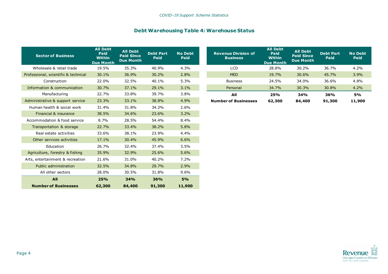#### **Debt Warehousing Table 4: Warehouse Status**

| <b>Sector of Business</b>            | <b>All Debt</b><br>Paid<br><b>Within</b><br><b>Due Month</b> | <b>All Debt</b><br><b>Paid Since</b><br><b>Due Month</b> | <b>Debt Part</b><br>Paid | <b>No Debt</b><br>Paid |
|--------------------------------------|--------------------------------------------------------------|----------------------------------------------------------|--------------------------|------------------------|
| Wholesale & retail trade             | 19.5%                                                        | 35.3%                                                    | 40.9%                    | 4.3%                   |
| Professional, scientific & technical | 30.1%                                                        | 36.9%                                                    | 30.2%                    | 2.8%                   |
| Construction                         | 22.0%                                                        | 32.5%                                                    | 40.1%                    | 5.3%                   |
| Information & communication          | 30.7%                                                        | 37.1%                                                    | 29.1%                    | 3.1%                   |
| Manufacturing                        | 22.7%                                                        | 33.8%                                                    | 39.7%                    | 3.8%                   |
| Administrative & support service     | 23.3%                                                        | 33.1%                                                    | 38.8%                    | 4.9%                   |
| Human health & social work           | 31.4%                                                        | 31.8%                                                    | 34.2%                    | 2.6%                   |
| Financial & insurance                | 38.5%                                                        | 34.6%                                                    | 23.6%                    | 3.2%                   |
| Accommodation & food service         | 8.7%                                                         | 28.5%                                                    | 54.4%                    | 8.4%                   |
| Transportation & storage             | 22.7%                                                        | 33.4%                                                    | 38.2%                    | 5.8%                   |
| Real estate activities               | 33.6%                                                        | 38.1%                                                    | 23.9%                    | 4.4%                   |
| Other services activities            | 17.1%                                                        | 30.4%                                                    | 45.9%                    | 6.6%                   |
| Education                            | 26.7%                                                        | 32.4%                                                    | 37.4%                    | 3.5%                   |
| Agriculture, forestry & fishing      | 35.9%                                                        | 32.9%                                                    | 25.6%                    | 5.6%                   |
| Arts, entertainment & recreation     | 21.6%                                                        | 31.0%                                                    | 40.2%                    | 7.2%                   |
| Public administration                | 32.5%                                                        | 34.8%                                                    | 29.7%                    | 2.9%                   |
| All other sectors                    | 28.0%                                                        | 30.5%                                                    | 31.8%                    | $9.6\%$                |
| All                                  | 25%                                                          | 34%                                                      | 36%                      | 5%                     |
| <b>Number of Businesses</b>          | 62,300                                                       | 84,400                                                   | 91,300                   | 11,900                 |

| <b>Revenue Division of</b><br><b>Business</b> | <b>All Debt</b><br>Paid<br><b>Within</b><br><b>Due Month</b> | <b>All Debt</b><br><b>Paid Since</b><br><b>Due Month</b> | <b>Debt Part</b><br>Paid | <b>No Debt</b><br>Paid |
|-----------------------------------------------|--------------------------------------------------------------|----------------------------------------------------------|--------------------------|------------------------|
| LCD                                           | 28.8%                                                        | 30.2%                                                    | 36.7%                    | 4.2%                   |
| <b>MED</b>                                    | 19.7%                                                        | 30.6%                                                    | 45.7%                    | 3.9%                   |
| <b>Business</b>                               | 24.5%                                                        | 34.0%                                                    | 36.6%                    | 4.8%                   |
| Personal                                      | 34.7%                                                        | 30.3%                                                    | 30.8%                    | 4.2%                   |
| All                                           | 25%                                                          | 34%                                                      | 36%                      | <b>5%</b>              |
| <b>Number of Businesses</b>                   | 62,300                                                       | 84,400                                                   | 91,300                   | 11,900                 |

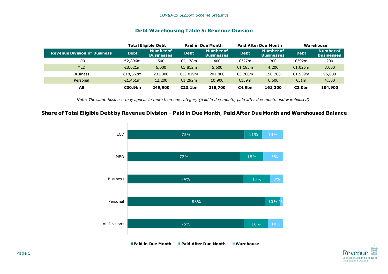#### **Debt Warehousing Table 5: Revenue Division**

|                                     |             | <b>Total Eligible Debt</b>     |             | <b>Paid in Due Month</b>              |             | <b>Paid After Due Month</b>           |             | Warehouse                      |
|-------------------------------------|-------------|--------------------------------|-------------|---------------------------------------|-------------|---------------------------------------|-------------|--------------------------------|
| <b>Revenue Division of Business</b> | <b>Debt</b> | Number of<br><b>Businesses</b> | <b>Debt</b> | <b>Number of</b><br><b>Businesses</b> | <b>Debt</b> | <b>Number of</b><br><b>Businesses</b> | <b>Debt</b> | Number of<br><b>Businesses</b> |
| LCD.                                | €2.896m     | 500                            | E2.178m     | 400                                   | €327m       | 300                                   | €392m       | 200                            |
| <b>MED</b>                          | €8,021m     | 6,000                          | €5,812m     | 5,600                                 | €1,185m     | 4,200                                 | €1,026m     | 3,000                          |
| <b>Business</b>                     | €18,562m    | 231,300                        | €13,819m    | 201,800                               | €3,208m     | 150,200                               | €1,539m     | 95,800                         |
| Personal                            | €1,461m     | 12,200                         | €1,292m     | 10,900                                | €139m       | 6,500                                 | €31 $m$     | 4,300                          |
| All                                 | €30.9bn     | 249,900                        | E23.1bn     | 218,700                               | E4.9bn      | 161,200                               | €3.0bn      | 104,900                        |

*Note: The same business may appear in more than one category (paid in due month, paid after due month and warehoused).*

#### **Share of Total Eligible Debt by Revenue Division – Paid in Due Month, Paid After Due Month and Warehoused Balance**



Revent Cáin agus Custaim na hÉireann **Irish Tax and Customs**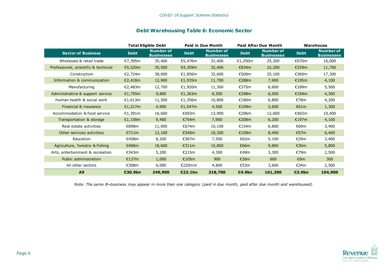#### **Debt Warehousing Table 6: Economic Sector**

|                                      |             | <b>Total Eligible Debt</b>            |             | <b>Paid in Due Month</b>              |             | <b>Paid After Due Month</b>           |             | Warehouse                             |
|--------------------------------------|-------------|---------------------------------------|-------------|---------------------------------------|-------------|---------------------------------------|-------------|---------------------------------------|
| <b>Sector of Business</b>            | <b>Debt</b> | <b>Number of</b><br><b>Businesses</b> | <b>Debt</b> | <b>Number of</b><br><b>Businesses</b> | <b>Debt</b> | <b>Number of</b><br><b>Businesses</b> | <b>Debt</b> | <b>Number of</b><br><b>Businesses</b> |
| Wholesale & retail trade             | €7,395m     | 35,400                                | €5,476m     | 31,400                                | €1,250m     | 25,200                                | €670m       | 16,000                                |
| Professional, scientific & technical | €5,520m     | 35,500                                | €4,359m     | 32,400                                | €834m       | 22,200                                | €329m       | 11,700                                |
| Construction                         | €2,724m     | 38,000                                | €1,856m     | 32,600                                | €500m       | 25,100                                | €369m       | 17,300                                |
| Information & communication          | €2,418m     | 12,900                                | €1,935m     | 11,700                                | €288m       | 7,900                                 | €195m       | 4,100                                 |
| Manufacturing                        | €2,483m     | 12,700                                | €1,920m     | 11,300                                | €375m       | 8,600                                 | €189m       | 5,500                                 |
| Administrative & support service     | €1,755m     | 9,800                                 | €1,263m     | 8,500                                 | €298m       | 6,500                                 | €194m       | 4,300                                 |
| Human health & social work           | €1,613m     | 11,500                                | €1,356m     | 10,800                                | €180m       | 6,800                                 | €78m        | 4,200                                 |
| Financial & insurance                | €1,217m     | 4,900                                 | €1,047m     | 4,500                                 | €109m       | 2,600                                 | €61m        | 1,300                                 |
| Accommodation & food service         | €1,391m     | 16,600                                | €693m       | 13,900                                | €296m       | 12,600                                | €402m       | 10,400                                |
| Transportation & storage             | €1,158m     | 9,400                                 | €754m       | 7,900                                 | €208m       | 6,200                                 | €197m       | 4,100                                 |
| Real estate activities               | €898m       | 11,900                                | €674m       | 10,100                                | €154m       | 6,800                                 | €69m        | 3,400                                 |
| Other services activities            | €711m       | 12,100                                | €545m       | 10,300                                | €109m       | 8,400                                 | €57m        | 6,400                                 |
| Education                            | €458m       | 8,200                                 | €367m       | 7,500                                 | €62m        | 5,100                                 | €29m        | 3,400                                 |
| Agriculture, forestry & fishing      | €406m       | 18,600                                | €311m       | 15,800                                | €66m        | 9,800                                 | €30m        | 5,800                                 |
| Arts, entertainment & recreation     | €343m       | 5,200                                 | €215m       | 4,300                                 | €49m        | 3,300                                 | €79m        | 2,500                                 |
| Public administration                | €137m       | 1,000                                 | €105m       | 900                                   | €26m        | 600                                   | €6m         | 300                                   |
| All other sectors                    | €308m       | 6,000                                 | E220mm      | 4,800                                 | €53m        | 3,600                                 | €34m        | 2,500                                 |
| All                                  | €30.9bn     | 249,900                               | €23.1bn     | 218,700                               | €4.9bn      | 161,200                               | €3.0bn      | 104,900                               |

*Note: The same B=business may appear in more than one category (paid in due month, paid after due month and warehoused).*

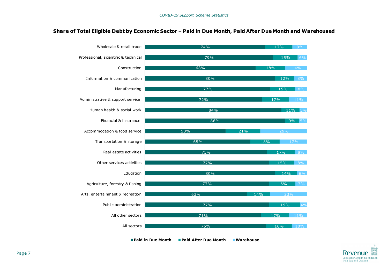#### **Share of Total Eligible Debt by Economic Sector – Paid in Due Month, Paid After Due Month and Warehoused**



**Paid in Due Month Paid After Due Month Warehouse**

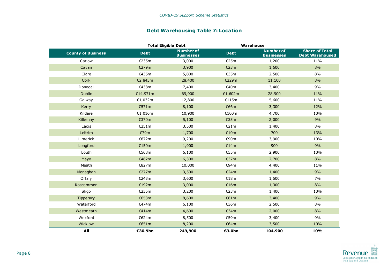#### **Debt Warehousing Table 7: Location**

|                           | <b>Total Eligible Debt</b> |                                       | Warehouse   |                                       |                                                 |
|---------------------------|----------------------------|---------------------------------------|-------------|---------------------------------------|-------------------------------------------------|
| <b>County of Business</b> | <b>Debt</b>                | <b>Number of</b><br><b>Businesses</b> | <b>Debt</b> | <b>Number of</b><br><b>Businesses</b> | <b>Share of Total</b><br><b>Debt Warehoused</b> |
| Carlow                    | €235m                      | 3,000                                 | €25m        | 1,200                                 | 11%                                             |
| Cavan                     | €279m                      | 3,900                                 | €23m        | 1,600                                 | 8%                                              |
| Clare                     | €435m                      | 5,800                                 | €35m        | 2,500                                 | 8%                                              |
| Cork                      | €2,843m                    | 28,400                                | €229m       | 11,100                                | 8%                                              |
| Donegal                   | €438m                      | 7,400                                 | €40m        | 3,400                                 | 9%                                              |
| Dublin                    | €14,971m                   | 69,900                                | €1,602m     | 28,900                                | 11%                                             |
| Galway                    | €1,032m                    | 12,800                                | €115m       | 5,600                                 | 11%                                             |
| Kerry                     | €571m                      | 8,100                                 | €66m        | 3,300                                 | 12%                                             |
| Kildare                   | €1,016m                    | 10,900                                | €100m       | 4,700                                 | 10%                                             |
| Kilkenny                  | €370m                      | 5,100                                 | €33m        | 2,000                                 | 9%                                              |
| Laois                     | €251m                      | 3,500                                 | €21m        | 1,400                                 | $8\%$                                           |
| Leitrim                   | €79m                       | 1,700                                 | €10m        | 700                                   | 13%                                             |
| Limerick                  | €872m                      | 9,200                                 | €90m        | 3,900                                 | 10%                                             |
| Longford                  | €150m                      | 1,900                                 | €14m        | 900                                   | 9%                                              |
| Louth                     | €568m                      | 6,100                                 | €55m        | 2,900                                 | 10%                                             |
| Mayo                      | €462m                      | 6,300                                 | €37m        | 2,700                                 | 8%                                              |
| Meath                     | €827m                      | 10,000                                | €94m        | 4,400                                 | 11%                                             |
| Monaghan                  | €277m                      | 3,500                                 | €24m        | 1,400                                 | 9%                                              |
| Offaly                    | €243m                      | 3,600                                 | €18m        | 1,500                                 | 7%                                              |
| Roscommon                 | €192m                      | 3,000                                 | €16m        | 1,300                                 | 8%                                              |
| Sligo                     | €235m                      | 3,200                                 | €23m        | 1,400                                 | 10%                                             |
| Tipperary                 | €653m                      | 8,600                                 | €61m        | 3,400                                 | 9%                                              |
| Waterford                 | €474m                      | 6,100                                 | €36m        | 2,500                                 | 8%                                              |
| Westmeath                 | €414m                      | 4,600                                 | €34m        | 2,000                                 | 8%                                              |
| Wexford                   | €624m                      | 8,500                                 | €59m        | 3,400                                 | 9%                                              |
| Wicklow                   | €651m                      | 8,200                                 | €64m        | 3,500                                 | 10%                                             |
| All                       | €30.9bn                    | 249,900                               | €3.0bn      | 104,900                               | 10%                                             |

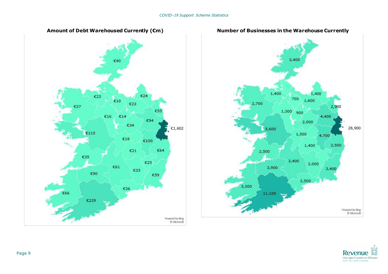





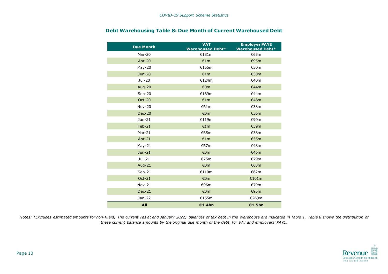| <b>Due Month</b> | <b>VAT</b><br><b>Warehoused Debt*</b> | <b>Employer PAYE</b><br><b>Warehoused Debt*</b> |
|------------------|---------------------------------------|-------------------------------------------------|
| Mar-20           | €181m                                 | €65m                                            |
| Apr-20           | £1m                                   | €95m                                            |
| May-20           | €155m                                 | €30m                                            |
| Jun-20           | €1m                                   | €30m                                            |
| Jul-20           | €124m                                 | €40m                                            |
| Aug-20           | €0m                                   | €44m                                            |
| $Sep-20$         | €169m                                 | E44m                                            |
| <b>Oct-20</b>    | €1m                                   | €48m                                            |
| <b>Nov-20</b>    | €61m                                  | €38m                                            |
| <b>Dec-20</b>    | €0m                                   | €36m                                            |
| Jan-21           | €119m                                 | €90m                                            |
| $Feb-21$         | €1m                                   | €39m                                            |
| $Mar-21$         | €65m                                  | €38m                                            |
| Apr-21           | €1m                                   | €55m                                            |
| $May-21$         | €67m                                  | €48m                                            |
| Jun-21           | €0m                                   | €46m                                            |
| Jul-21           | €75m                                  | €79m                                            |
| <b>Aug-21</b>    | €0m                                   | €63m                                            |
| $Sep-21$         | €110m                                 | €62m                                            |
| Oct-21           | €0m                                   | €101m                                           |
| $Nov-21$         | €96m                                  | €79m                                            |
| <b>Dec-21</b>    | €0m                                   | €95m                                            |
| Jan-22           | €155m                                 | €260m                                           |
| All              | €1.4bn                                | €1.5bn                                          |

#### **Debt Warehousing Table 8: Due Month of Current Warehoused Debt**

Notes: \*Excludes estimated amounts for non-filers; The current (as at end January 2022) balances of tax debt in the Warehouse are indicated in Table 1, Table 8 shows the distribution of *these current balance amounts by the original due month of the debt, for VAT and employers' PAYE.*